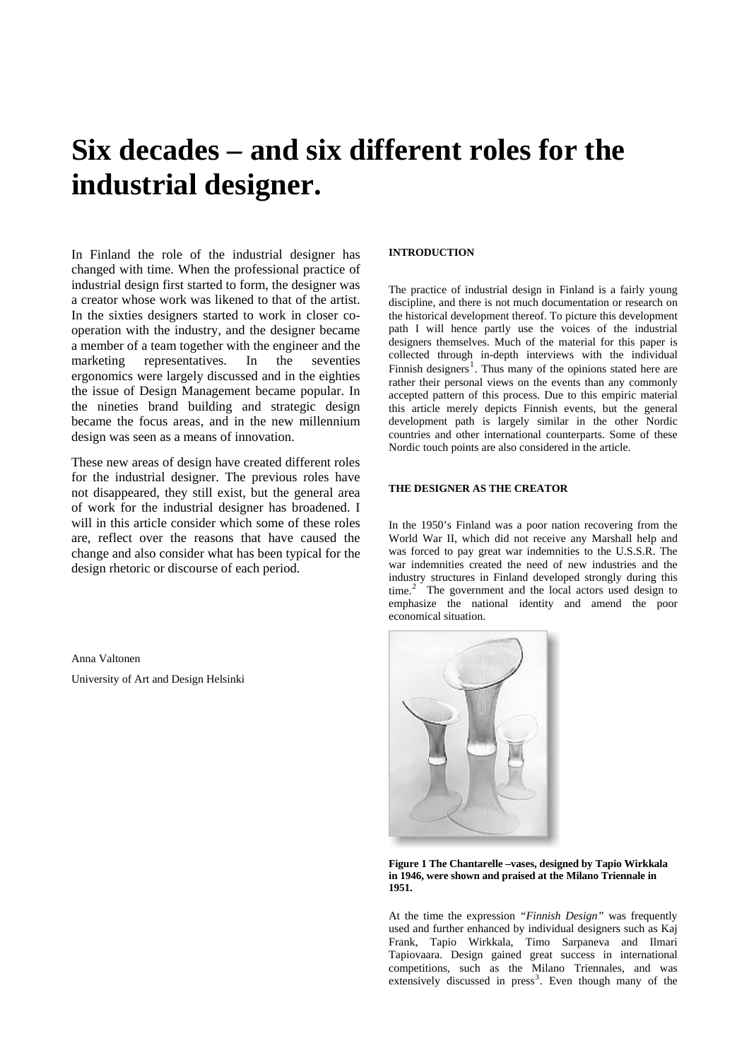# **Six decades – and six different roles for the industrial designer.**

In Finland the role of the industrial designer has changed with time. When the professional practice of industrial design first started to form, the designer was a creator whose work was likened to that of the artist. In the sixties designers started to work in closer cooperation with the industry, and the designer became a member of a team together with the engineer and the marketing representatives. In the seventies ergonomics were largely discussed and in the eighties the issue of Design Management became popular. In the nineties brand building and strategic design became the focus areas, and in the new millennium design was seen as a means of innovation.

These new areas of design have created different roles for the industrial designer. The previous roles have not disappeared, they still exist, but the general area of work for the industrial designer has broadened. I will in this article consider which some of these roles are, reflect over the reasons that have caused the change and also consider what has been typical for the design rhetoric or discourse of each period.

Anna Valtonen University of Art and Design Helsinki

#### **INTRODUCTION**

The practice of industrial design in Finland is a fairly young discipline, and there is not much documentation or research on the historical development thereof. To picture this development path I will hence partly use the voices of the industrial designers themselves. Much of the material for this paper is collected through in-depth interviews with the individual Finnish designers<sup>[1](#page-9-0)</sup>. Thus many of the opinions stated here are rather their personal views on the events than any commonly accepted pattern of this process. Due to this empiric material this article merely depicts Finnish events, but the general development path is largely similar in the other Nordic countries and other international counterparts. Some of these Nordic touch points are also considered in the article.

## **THE DESIGNER AS THE CREATOR**

In the 1950's Finland was a poor nation recovering from the World War II, which did not receive any Marshall help and was forced to pay great war indemnities to the U.S.S.R. The war indemnities created the need of new industries and the industry structures in Finland developed strongly during this time.<sup>[2](#page-9-1)</sup> The government and the local actors used design to emphasize the national identity and amend the poor economical situation.



**Figure 1 The Chantarelle –vases, designed by Tapio Wirkkala in 1946, were shown and praised at the Milano Triennale in 1951.** 

At the time the expression *"Finnish Design"* was frequently used and further enhanced by individual designers such as Kaj Frank, Tapio Wirkkala, Timo Sarpaneva and Ilmari Tapiovaara. Design gained great success in international competitions, such as the Milano Triennales, and was extensively discussed in press<sup>[3](#page-9-1)</sup>. Even though many of the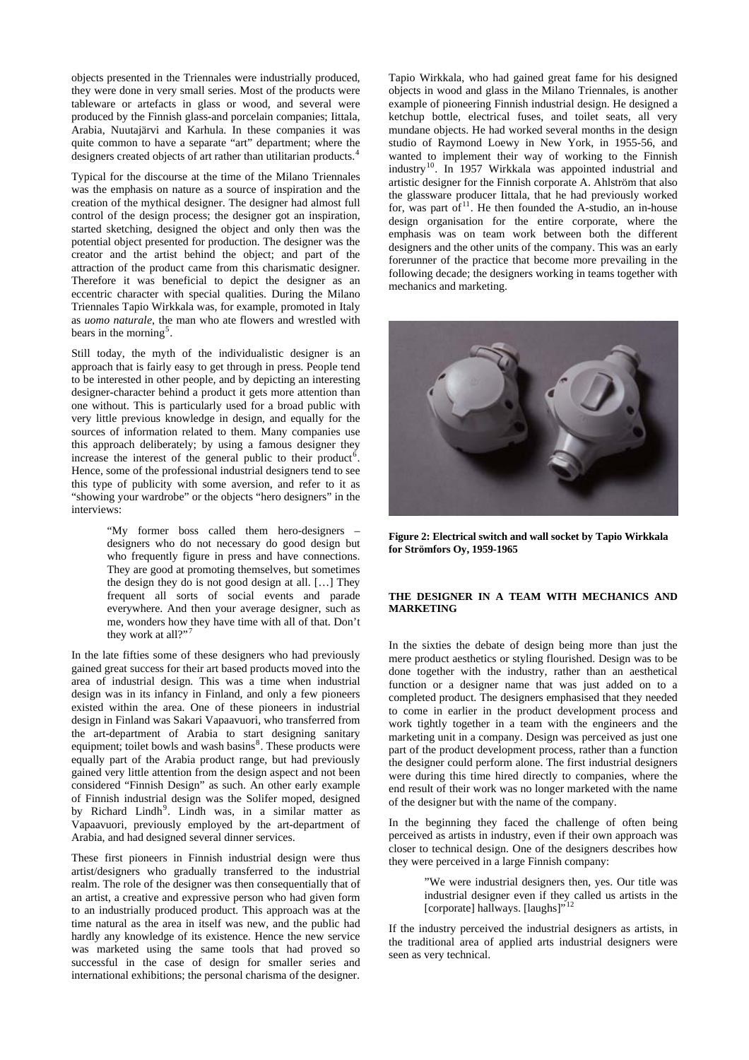objects presented in the Triennales were industrially produced, they were done in very small series. Most of the products were tableware or artefacts in glass or wood, and several were produced by the Finnish glass-and porcelain companies; Iittala, Arabia, Nuutajärvi and Karhula. In these companies it was quite common to have a separate "art" department; where the designers created objects of art rather than utilitarian products.<sup>[4](#page-9-1)</sup>

Typical for the discourse at the time of the Milano Triennales was the emphasis on nature as a source of inspiration and the creation of the mythical designer. The designer had almost full control of the design process; the designer got an inspiration, started sketching, designed the object and only then was the potential object presented for production. The designer was the creator and the artist behind the object; and part of the attraction of the product came from this charismatic designer. Therefore it was beneficial to depict the designer as an eccentric character with special qualities. During the Milano Triennales Tapio Wirkkala was, for example, promoted in Italy as *uomo naturale*, the man who ate flowers and wrestled with bears in the morning<sup>[5](#page-9-1)</sup>.

Still today, the myth of the individualistic designer is an approach that is fairly easy to get through in press. People tend to be interested in other people, and by depicting an interesting designer-character behind a product it gets more attention than one without. This is particularly used for a broad public with very little previous knowledge in design, and equally for the sources of information related to them. Many companies use this approach deliberately; by using a famous designer they increase the interest of the general public to their product<sup>[6](#page-9-1)</sup>. Hence, some of the professional industrial designers tend to see this type of publicity with some aversion, and refer to it as "showing your wardrobe" or the objects "hero designers" in the interviews:

> "My former boss called them hero-designers – designers who do not necessary do good design but who frequently figure in press and have connections. They are good at promoting themselves, but sometimes the design they do is not good design at all. […] They frequent all sorts of social events and parade everywhere. And then your average designer, such as me, wonders how they have time with all of that. Don't they work at all?"[7](#page-9-1)

In the late fifties some of these designers who had previously gained great success for their art based products moved into the area of industrial design. This was a time when industrial design was in its infancy in Finland, and only a few pioneers existed within the area. One of these pioneers in industrial design in Finland was Sakari Vapaavuori, who transferred from the art-department of Arabia to start designing sanitary equipment; toilet bowls and wash basins<sup>[8](#page-9-1)</sup>. These products were equally part of the Arabia product range, but had previously gained very little attention from the design aspect and not been considered "Finnish Design" as such. An other early example of Finnish industrial design was the Solifer moped, designed by Richard Lindh<sup>[9](#page-9-1)</sup>. Lindh was, in a similar matter as Vapaavuori, previously employed by the art-department of Arabia, and had designed several dinner services.

These first pioneers in Finnish industrial design were thus artist/designers who gradually transferred to the industrial realm. The role of the designer was then consequentially that of an artist, a creative and expressive person who had given form to an industrially produced product. This approach was at the time natural as the area in itself was new, and the public had hardly any knowledge of its existence. Hence the new service was marketed using the same tools that had proved so successful in the case of design for smaller series and international exhibitions; the personal charisma of the designer.

Tapio Wirkkala, who had gained great fame for his designed objects in wood and glass in the Milano Triennales, is another example of pioneering Finnish industrial design. He designed a ketchup bottle, electrical fuses, and toilet seats, all very mundane objects. He had worked several months in the design studio of Raymond Loewy in New York, in 1955-56, and wanted to implement their way of working to the Finnish industry<sup>[10](#page-9-1)</sup>. In 1957 Wirkkala was appointed industrial and artistic designer for the Finnish corporate A. Ahlström that also the glassware producer Iittala, that he had previously worked for, was part of $11$ . He then founded the A-studio, an in-house design organisation for the entire corporate, where the emphasis was on team work between both the different designers and the other units of the company. This was an early forerunner of the practice that become more prevailing in the following decade; the designers working in teams together with mechanics and marketing.



**Figure 2: Electrical switch and wall socket by Tapio Wirkkala for Strömfors Oy, 1959-1965** 

## **THE DESIGNER IN A TEAM WITH MECHANICS AND MARKETING**

In the sixties the debate of design being more than just the mere product aesthetics or styling flourished. Design was to be done together with the industry, rather than an aesthetical function or a designer name that was just added on to a completed product. The designers emphasised that they needed to come in earlier in the product development process and work tightly together in a team with the engineers and the marketing unit in a company. Design was perceived as just one part of the product development process, rather than a function the designer could perform alone. The first industrial designers were during this time hired directly to companies, where the end result of their work was no longer marketed with the name of the designer but with the name of the company.

In the beginning they faced the challenge of often being perceived as artists in industry, even if their own approach was closer to technical design. One of the designers describes how they were perceived in a large Finnish company:

> "We were industrial designers then, yes. Our title was industrial designer even if they called us artists in the [corporate] hallways. [laughs]"<sup>[12](#page-9-1)</sup>

If the industry perceived the industrial designers as artists, in the traditional area of applied arts industrial designers were seen as very technical.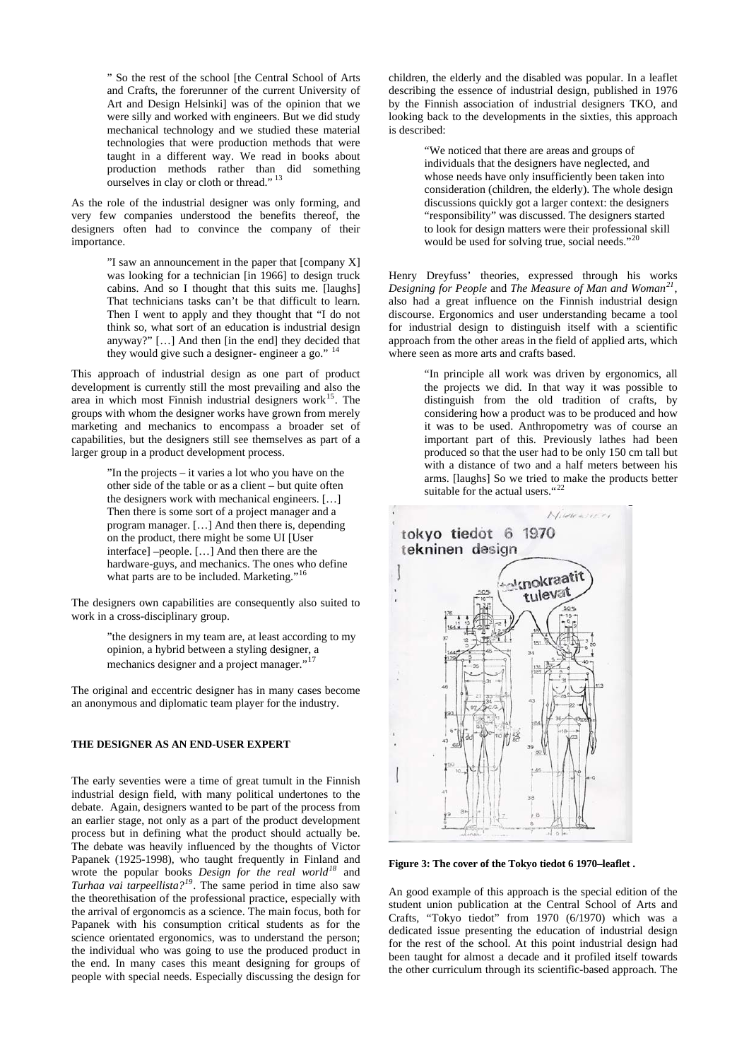" So the rest of the school [the Central School of Arts and Crafts, the forerunner of the current University of Art and Design Helsinki] was of the opinion that we were silly and worked with engineers. But we did study mechanical technology and we studied these material technologies that were production methods that were taught in a different way. We read in books about production methods rather than did something ourselves in clay or cloth or thread."<sup>[13](#page-9-1)</sup>

As the role of the industrial designer was only forming, and very few companies understood the benefits thereof, the designers often had to convince the company of their importance.

> "I saw an announcement in the paper that [company X] was looking for a technician [in 1966] to design truck cabins. And so I thought that this suits me. [laughs] That technicians tasks can't be that difficult to learn. Then I went to apply and they thought that "I do not think so, what sort of an education is industrial design anyway?" […] And then [in the end] they decided that they would give such a designer- engineer a go."

This approach of industrial design as one part of product development is currently still the most prevailing and also the area in which most Finnish industrial designers work<sup>[15](#page-9-1)</sup>. The groups with whom the designer works have grown from merely marketing and mechanics to encompass a broader set of capabilities, but the designers still see themselves as part of a larger group in a product development process.

> "In the projects – it varies a lot who you have on the other side of the table or as a client – but quite often the designers work with mechanical engineers. […] Then there is some sort of a project manager and a program manager. […] And then there is, depending on the product, there might be some UI [User interface] –people. […] And then there are the hardware-guys, and mechanics. The ones who define what parts are to be included. Marketing."<sup>[16](#page-9-1)</sup>

The designers own capabilities are consequently also suited to work in a cross-disciplinary group.

> "the designers in my team are, at least according to my opinion, a hybrid between a styling designer, a mechanics designer and a project manager."<sup>[17](#page-9-1)</sup>

The original and eccentric designer has in many cases become an anonymous and diplomatic team player for the industry.

## **THE DESIGNER AS AN END-USER EXPERT**

The early seventies were a time of great tumult in the Finnish industrial design field, with many political undertones to the debate. Again, designers wanted to be part of the process from an earlier stage, not only as a part of the product development process but in defining what the product should actually be. The debate was heavily influenced by the thoughts of Victor Papanek (1925-1998), who taught frequently in Finland and wrote the popular books *Design for the real world[18](#page-9-1)* and *Turhaa vai tarpeellista?[19](#page-9-1)*. The same period in time also saw the theorethisation of the professional practice, especially with the arrival of ergonomcis as a science. The main focus, both for Papanek with his consumption critical students as for the science orientated ergonomics, was to understand the person; the individual who was going to use the produced product in the end. In many cases this meant designing for groups of people with special needs. Especially discussing the design for

children, the elderly and the disabled was popular. In a leaflet describing the essence of industrial design, published in 1976 by the Finnish association of industrial designers TKO, and looking back to the developments in the sixties, this approach is described:

> "We noticed that there are areas and groups of individuals that the designers have neglected, and whose needs have only insufficiently been taken into consideration (children, the elderly). The whole design discussions quickly got a larger context: the designers "responsibility" was discussed. The designers started to look for design matters were their professional skill would be used for solving true, social needs."<sup>[20](#page-9-1)</sup>

Henry Dreyfuss' theories, expressed through his works *Designing for People* and *The Measure of Man and Woman[21](#page-9-1),* also had a great influence on the Finnish industrial design discourse. Ergonomics and user understanding became a tool for industrial design to distinguish itself with a scientific approach from the other areas in the field of applied arts, which where seen as more arts and crafts based.

> "In principle all work was driven by ergonomics, all the projects we did. In that way it was possible to distinguish from the old tradition of crafts, by considering how a product was to be produced and how it was to be used. Anthropometry was of course an important part of this. Previously lathes had been produced so that the user had to be only 150 cm tall but with a distance of two and a half meters between his arms. [laughs] So we tried to make the products better suitable for the actual users."<sup>[22](#page-9-1)</sup>



**Figure 3: The cover of the Tokyo tiedot 6 1970–leaflet .** 

An good example of this approach is the special edition of the student union publication at the Central School of Arts and Crafts, "Tokyo tiedot" from 1970 (6/1970) which was a dedicated issue presenting the education of industrial design for the rest of the school. At this point industrial design had been taught for almost a decade and it profiled itself towards the other curriculum through its scientific-based approach. The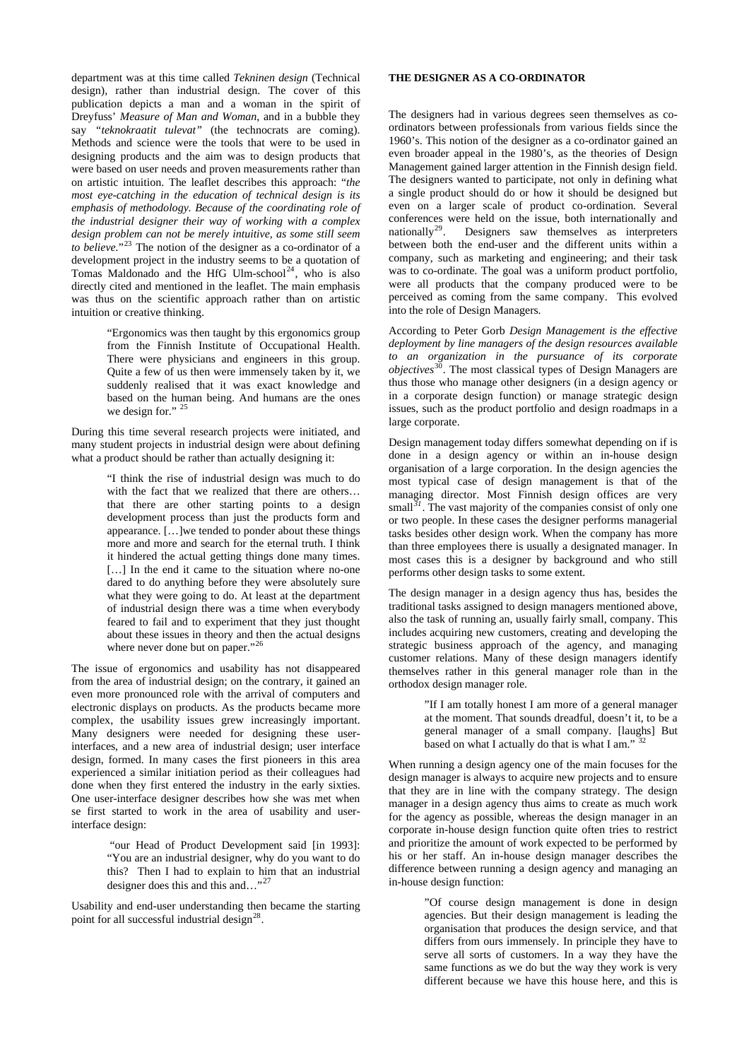department was at this time called *Tekninen design* (Technical design), rather than industrial design. The cover of this publication depicts a man and a woman in the spirit of Dreyfuss' *Measure of Man and Woman*, and in a bubble they say *"teknokraatit tulevat"* (the technocrats are coming). Methods and science were the tools that were to be used in designing products and the aim was to design products that were based on user needs and proven measurements rather than on artistic intuition. The leaflet describes this approach: "*the most eye-catching in the education of technical design is its emphasis of methodology. Because of the coordinating role of the industrial designer their way of working with a complex design problem can not be merely intuitive, as some still seem to believe.*"[23](#page-9-1) The notion of the designer as a co-ordinator of a development project in the industry seems to be a quotation of Tomas Maldonado and the HfG Ulm-school<sup>[24](#page-9-1)</sup>, who is also directly cited and mentioned in the leaflet. The main emphasis was thus on the scientific approach rather than on artistic intuition or creative thinking.

> "Ergonomics was then taught by this ergonomics group from the Finnish Institute of Occupational Health. There were physicians and engineers in this group. Quite a few of us then were immensely taken by it, we suddenly realised that it was exact knowledge and based on the human being. And humans are the ones we design for." <sup>[25](#page-9-1)</sup>

During this time several research projects were initiated, and many student projects in industrial design were about defining what a product should be rather than actually designing it:

> "I think the rise of industrial design was much to do with the fact that we realized that there are others... that there are other starting points to a design development process than just the products form and appearance. […]we tended to ponder about these things more and more and search for the eternal truth. I think it hindered the actual getting things done many times. [...] In the end it came to the situation where no-one dared to do anything before they were absolutely sure what they were going to do. At least at the department of industrial design there was a time when everybody feared to fail and to experiment that they just thought about these issues in theory and then the actual designs where never done but on paper."<sup>[26](#page-9-1)</sup>

The issue of ergonomics and usability has not disappeared from the area of industrial design; on the contrary, it gained an even more pronounced role with the arrival of computers and electronic displays on products. As the products became more complex, the usability issues grew increasingly important. Many designers were needed for designing these userinterfaces, and a new area of industrial design; user interface design, formed. In many cases the first pioneers in this area experienced a similar initiation period as their colleagues had done when they first entered the industry in the early sixties. One user-interface designer describes how she was met when se first started to work in the area of usability and userinterface design:

> "our Head of Product Development said [in 1993]: "You are an industrial designer, why do you want to do this? Then I had to explain to him that an industrial designer does this and this and ..."<sup>[27](#page-9-1)</sup>

Usability and end-user understanding then became the starting point for all successful industrial design $^{28}$  $^{28}$  $^{28}$ .

#### **THE DESIGNER AS A CO-ORDINATOR**

The designers had in various degrees seen themselves as coordinators between professionals from various fields since the 1960's. This notion of the designer as a co-ordinator gained an even broader appeal in the 1980's, as the theories of Design Management gained larger attention in the Finnish design field. The designers wanted to participate, not only in defining what a single product should do or how it should be designed but even on a larger scale of product co-ordination. Several conferences were held on the issue, both internationally and nationally<sup>29</sup>. Designers saw themselves as interpreters Designers saw themselves as interpreters between both the end-user and the different units within a company, such as marketing and engineering; and their task was to co-ordinate. The goal was a uniform product portfolio, were all products that the company produced were to be perceived as coming from the same company. This evolved into the role of Design Managers.

According to Peter Gorb *Design Management is the effective deployment by line managers of the design resources available to an organization in the pursuance of its corporate objectives*[30](#page-9-1). The most classical types of Design Managers are thus those who manage other designers (in a design agency or in a corporate design function) or manage strategic design issues, such as the product portfolio and design roadmaps in a large corporate.

Design management today differs somewhat depending on if is done in a design agency or within an in-house design organisation of a large corporation. In the design agencies the most typical case of design management is that of the managing director. Most Finnish design offices are very small<sup>[31](#page-9-1)</sup>. The vast majority of the companies consist of only one or two people. In these cases the designer performs managerial tasks besides other design work. When the company has more than three employees there is usually a designated manager. In most cases this is a designer by background and who still performs other design tasks to some extent.

The design manager in a design agency thus has, besides the traditional tasks assigned to design managers mentioned above, also the task of running an, usually fairly small, company. This includes acquiring new customers, creating and developing the strategic business approach of the agency, and managing customer relations. Many of these design managers identify themselves rather in this general manager role than in the orthodox design manager role.

> "If I am totally honest I am more of a general manager at the moment. That sounds dreadful, doesn't it, to be a general manager of a small company. [laughs] But based on what I actually do that is what I am."

When running a design agency one of the main focuses for the design manager is always to acquire new projects and to ensure that they are in line with the company strategy. The design manager in a design agency thus aims to create as much work for the agency as possible, whereas the design manager in an corporate in-house design function quite often tries to restrict and prioritize the amount of work expected to be performed by his or her staff. An in-house design manager describes the difference between running a design agency and managing an in-house design function:

> "Of course design management is done in design agencies. But their design management is leading the organisation that produces the design service, and that differs from ours immensely. In principle they have to serve all sorts of customers. In a way they have the same functions as we do but the way they work is very different because we have this house here, and this is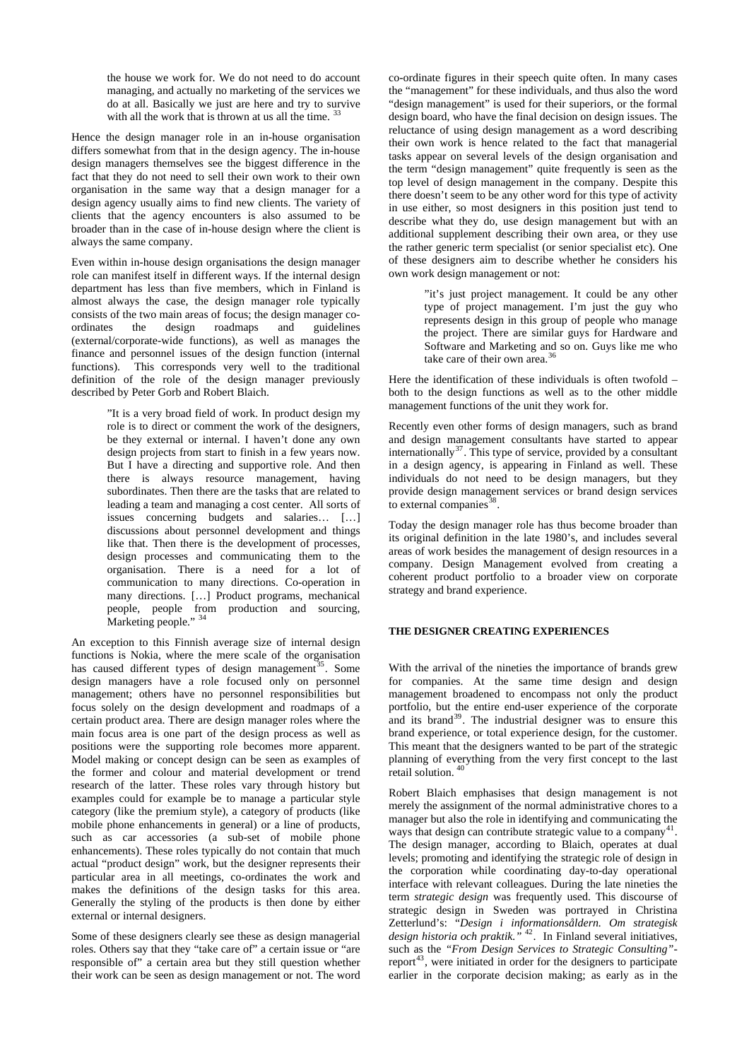the house we work for. We do not need to do account managing, and actually no marketing of the services we do at all. Basically we just are here and try to survive with all the work that is thrown at us all the time. <sup>[33](#page-9-1)</sup>

Hence the design manager role in an in-house organisation differs somewhat from that in the design agency. The in-house design managers themselves see the biggest difference in the fact that they do not need to sell their own work to their own organisation in the same way that a design manager for a design agency usually aims to find new clients. The variety of clients that the agency encounters is also assumed to be broader than in the case of in-house design where the client is always the same company.

Even within in-house design organisations the design manager role can manifest itself in different ways. If the internal design department has less than five members, which in Finland is almost always the case, the design manager role typically consists of the two main areas of focus; the design manager coordinates the design roadmaps and guidelines (external/corporate-wide functions), as well as manages the finance and personnel issues of the design function (internal functions). This corresponds very well to the traditional definition of the role of the design manager previously described by Peter Gorb and Robert Blaich.

> "It is a very broad field of work. In product design my role is to direct or comment the work of the designers, be they external or internal. I haven't done any own design projects from start to finish in a few years now. But I have a directing and supportive role. And then there is always resource management, having subordinates. Then there are the tasks that are related to leading a team and managing a cost center. All sorts of issues concerning budgets and salaries… […] discussions about personnel development and things like that. Then there is the development of processes, design processes and communicating them to the organisation. There is a need for a lot of communication to many directions. Co-operation in many directions. […] Product programs, mechanical people, people from production and sourcing, Marketing people." <sup>[34](#page-9-1)</sup>

An exception to this Finnish average size of internal design functions is Nokia, where the mere scale of the organisation has caused different types of design management<sup>[35](#page-9-1)</sup>. Some design managers have a role focused only on personnel management; others have no personnel responsibilities but focus solely on the design development and roadmaps of a certain product area. There are design manager roles where the main focus area is one part of the design process as well as positions were the supporting role becomes more apparent. Model making or concept design can be seen as examples of the former and colour and material development or trend research of the latter. These roles vary through history but examples could for example be to manage a particular style category (like the premium style), a category of products (like mobile phone enhancements in general) or a line of products, such as car accessories (a sub-set of mobile phone enhancements). These roles typically do not contain that much actual "product design" work, but the designer represents their particular area in all meetings, co-ordinates the work and makes the definitions of the design tasks for this area. Generally the styling of the products is then done by either external or internal designers.

Some of these designers clearly see these as design managerial roles. Others say that they "take care of" a certain issue or "are responsible of" a certain area but they still question whether their work can be seen as design management or not. The word

co-ordinate figures in their speech quite often. In many cases the "management" for these individuals, and thus also the word "design management" is used for their superiors, or the formal design board, who have the final decision on design issues. The reluctance of using design management as a word describing their own work is hence related to the fact that managerial tasks appear on several levels of the design organisation and the term "design management" quite frequently is seen as the top level of design management in the company. Despite this there doesn't seem to be any other word for this type of activity in use either, so most designers in this position just tend to describe what they do, use design management but with an additional supplement describing their own area, or they use the rather generic term specialist (or senior specialist etc). One of these designers aim to describe whether he considers his own work design management or not:

> "it's just project management. It could be any other type of project management. I'm just the guy who represents design in this group of people who manage the project. There are similar guys for Hardware and Software and Marketing and so on. Guys like me who take care of their own area.<sup>[36](#page-9-1)</sup>

Here the identification of these individuals is often twofold – both to the design functions as well as to the other middle management functions of the unit they work for.

Recently even other forms of design managers, such as brand and design management consultants have started to appear internationally<sup>[37](#page-9-1)</sup>. This type of service, provided by a consultant in a design agency, is appearing in Finland as well. These individuals do not need to be design managers, but they provide design management services or brand design services to external companies  $38$ .

Today the design manager role has thus become broader than its original definition in the late 1980's, and includes several areas of work besides the management of design resources in a company. Design Management evolved from creating a coherent product portfolio to a broader view on corporate strategy and brand experience.

## **THE DESIGNER CREATING EXPERIENCES**

With the arrival of the nineties the importance of brands grew for companies. At the same time design and design management broadened to encompass not only the product portfolio, but the entire end-user experience of the corporate and its brand<sup>[39](#page-9-1)</sup>. The industrial designer was to ensure this brand experience, or total experience design, for the customer. This meant that the designers wanted to be part of the strategic planning of everything from the very first concept to the last retail solution.<sup>[40](#page-9-1)</sup>

Robert Blaich emphasises that design management is not merely the assignment of the normal administrative chores to a manager but also the role in identifying and communicating the ways that design can contribute strategic value to a company<sup>[41](#page-9-1)</sup>. The design manager, according to Blaich, operates at dual levels; promoting and identifying the strategic role of design in the corporation while coordinating day-to-day operational interface with relevant colleagues. During the late nineties the term *strategic design* was frequently used. This discourse of strategic design in Sweden was portrayed in Christina Zetterlund's: "*Design i informationsåldern. Om strategisk design historia och praktik."* [42](#page-9-1). In Finland several initiatives, such as the *"From Design Services to Strategic Consulting"*- report<sup>[43](#page-9-1)</sup>, were initiated in order for the designers to participate earlier in the corporate decision making; as early as in the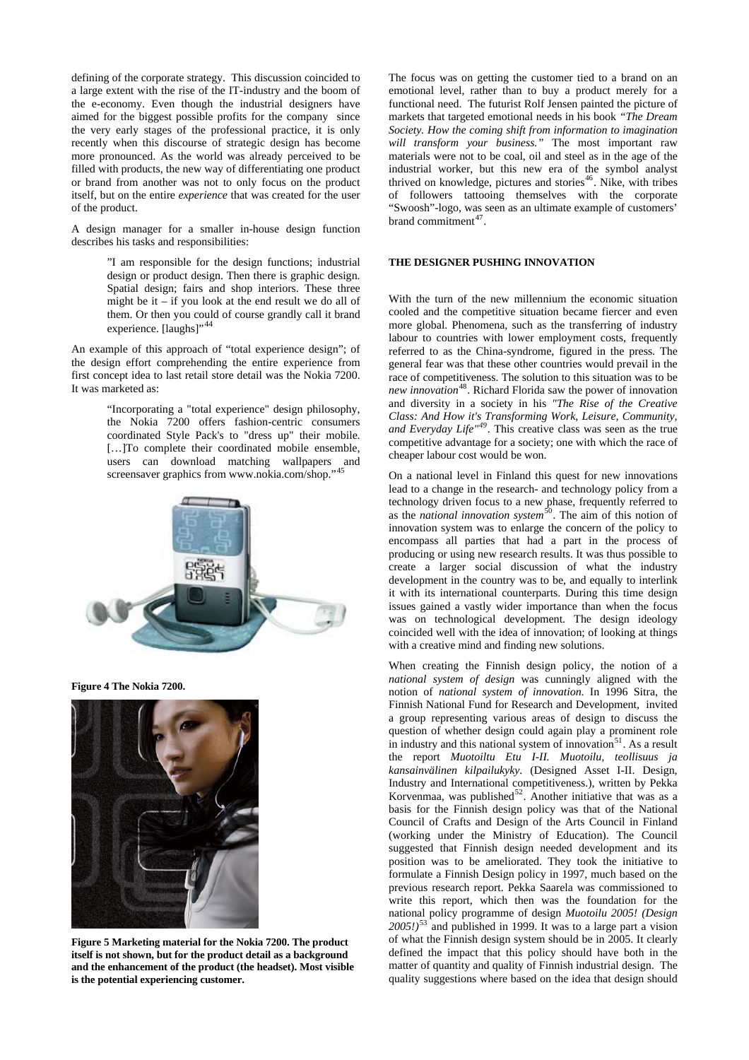defining of the corporate strategy. This discussion coincided to a large extent with the rise of the IT-industry and the boom of the e-economy. Even though the industrial designers have aimed for the biggest possible profits for the company since the very early stages of the professional practice, it is only recently when this discourse of strategic design has become more pronounced. As the world was already perceived to be filled with products, the new way of differentiating one product or brand from another was not to only focus on the product itself, but on the entire *experience* that was created for the user of the product.

A design manager for a smaller in-house design function describes his tasks and responsibilities:

> "I am responsible for the design functions; industrial design or product design. Then there is graphic design. Spatial design; fairs and shop interiors. These three might be it – if you look at the end result we do all of them. Or then you could of course grandly call it brand experience. [laughs]", [44](#page-9-1)

An example of this approach of "total experience design"; of the design effort comprehending the entire experience from first concept idea to last retail store detail was the Nokia 7200. It was marketed as:

> "Incorporating a "total experience" design philosophy, the Nokia 7200 offers fashion-centric consumers coordinated Style Pack's to "dress up" their mobile. [...]To complete their coordinated mobile ensemble, users can download matching wallpapers and screensaver graphics from [www.nokia.com/shop.](http://www.nokia.com/shop)'



**Figure 4 The Nokia 7200.**



**Figure 5 Marketing material for the Nokia 7200. The product itself is not shown, but for the product detail as a background and the enhancement of the product (the headset). Most visible is the potential experiencing customer.** 

The focus was on getting the customer tied to a brand on an emotional level, rather than to buy a product merely for a functional need. The futurist Rolf Jensen painted the picture of markets that targeted emotional needs in his book *"The Dream Society. How the coming shift from information to imagination will transform your business."* The most important raw materials were not to be coal, oil and steel as in the age of the industrial worker, but this new era of the symbol analyst thrived on knowledge, pictures and stories<sup>[46](#page-9-1)</sup>. Nike, with tribes of followers tattooing themselves with the corporate "Swoosh"-logo, was seen as an ultimate example of customers' brand commitment<sup>[47](#page-9-1)</sup>

## **THE DESIGNER PUSHING INNOVATION**

With the turn of the new millennium the economic situation cooled and the competitive situation became fiercer and even more global. Phenomena, such as the transferring of industry labour to countries with lower employment costs, frequently referred to as the China-syndrome, figured in the press. The general fear was that these other countries would prevail in the race of competitiveness. The solution to this situation was to be *new innovation*[48](#page-9-1). Richard Florida saw the power of innovation and diversity in a society in his *"The Rise of the Creative Class: And How it's Transforming Work, Leisure, Community, and Everyday Life"[49](#page-9-1)*. This creative class was seen as the true competitive advantage for a society; one with which the race of cheaper labour cost would be won.

On a national level in Finland this quest for new innovations lead to a change in the research- and technology policy from a technology driven focus to a new phase, frequently referred to as the *national innovation system*[50](#page-9-1). The aim of this notion of innovation system was to enlarge the concern of the policy to encompass all parties that had a part in the process of producing or using new research results. It was thus possible to create a larger social discussion of what the industry development in the country was to be, and equally to interlink it with its international counterparts. During this time design issues gained a vastly wider importance than when the focus was on technological development. The design ideology coincided well with the idea of innovation; of looking at things with a creative mind and finding new solutions.

When creating the Finnish design policy, the notion of a *national system of design* was cunningly aligned with the notion of *national system of innovation*. In 1996 Sitra, the Finnish National Fund for Research and Development, invited a group representing various areas of design to discuss the question of whether design could again play a prominent role in industry and this national system of innovation $51$ . As a result the report *Muotoiltu Etu I-II. Muotoilu, teollisuus ja kansainvälinen kilpailukyky.* (Designed Asset I-II. Design, Industry and International competitiveness.), written by Pekka Korvenmaa, was published $52$ . Another initiative that was as a basis for the Finnish design policy was that of the National Council of Crafts and Design of the Arts Council in Finland (working under the Ministry of Education). The Council suggested that Finnish design needed development and its position was to be ameliorated. They took the initiative to formulate a Finnish Design policy in 1997, much based on the previous research report. Pekka Saarela was commissioned to write this report, which then was the foundation for the national policy programme of design *Muotoilu 2005! (Design 2005!)*[53](#page-9-1) and published in 1999. It was to a large part a vision of what the Finnish design system should be in 2005. It clearly defined the impact that this policy should have both in the matter of quantity and quality of Finnish industrial design. The quality suggestions where based on the idea that design should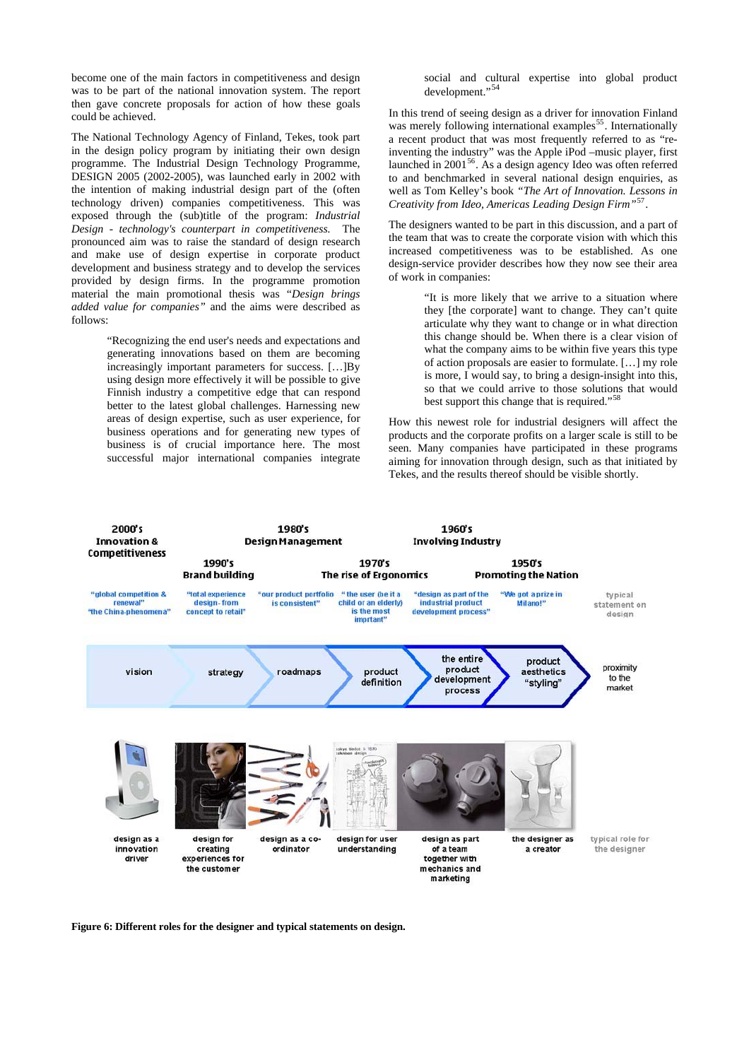become one of the main factors in competitiveness and design was to be part of the national innovation system. The report then gave concrete proposals for action of how these goals could be achieved.

The National Technology Agency of Finland, Tekes, took part in the design policy program by initiating their own design programme. The Industrial Design Technology Programme, DESIGN 2005 (2002-2005), was launched early in 2002 with the intention of making industrial design part of the (often technology driven) companies competitiveness. This was exposed through the (sub)title of the program: *Industrial Design - technology's counterpart in competitiveness.* The pronounced aim was to raise the standard of design research and make use of design expertise in corporate product development and business strategy and to develop the services provided by design firms. In the programme promotion material the main promotional thesis was "*Design brings added value for companies"* and the aims were described as follows:

> "Recognizing the end user's needs and expectations and generating innovations based on them are becoming increasingly important parameters for success. […]By using design more effectively it will be possible to give Finnish industry a competitive edge that can respond better to the latest global challenges. Harnessing new areas of design expertise, such as user experience, for business operations and for generating new types of business is of crucial importance here. The most successful major international companies integrate

social and cultural expertise into global product development."<sup>[54](#page-9-1)</sup>

In this trend of seeing design as a driver for innovation Finland was merely following international examples<sup>[55](#page-9-1)</sup>. Internationally a recent product that was most frequently referred to as "reinventing the industry" was the Apple iPod –music player, first launched in 2001<sup>[56](#page-9-1)</sup>. As a design agency Ideo was often referred to and benchmarked in several national design enquiries, as well as Tom Kelley's book *"The Art of Innovation. Lessons in Creativity from Ideo, Americas Leading Design Firm"*[57](#page-9-1).

The designers wanted to be part in this discussion, and a part of the team that was to create the corporate vision with which this increased competitiveness was to be established. As one design-service provider describes how they now see their area of work in companies:

> "It is more likely that we arrive to a situation where they [the corporate] want to change. They can't quite articulate why they want to change or in what direction this change should be. When there is a clear vision of what the company aims to be within five years this type of action proposals are easier to formulate. […] my role is more, I would say, to bring a design-insight into this, so that we could arrive to those solutions that would best support this change that is required."[58](#page-9-1)

How this newest role for industrial designers will affect the products and the corporate profits on a larger scale is still to be seen. Many companies have participated in these programs aiming for innovation through design, such as that initiated by Tekes, and the results thereof should be visible shortly.



**Figure 6: Different roles for the designer and typical statements on design.**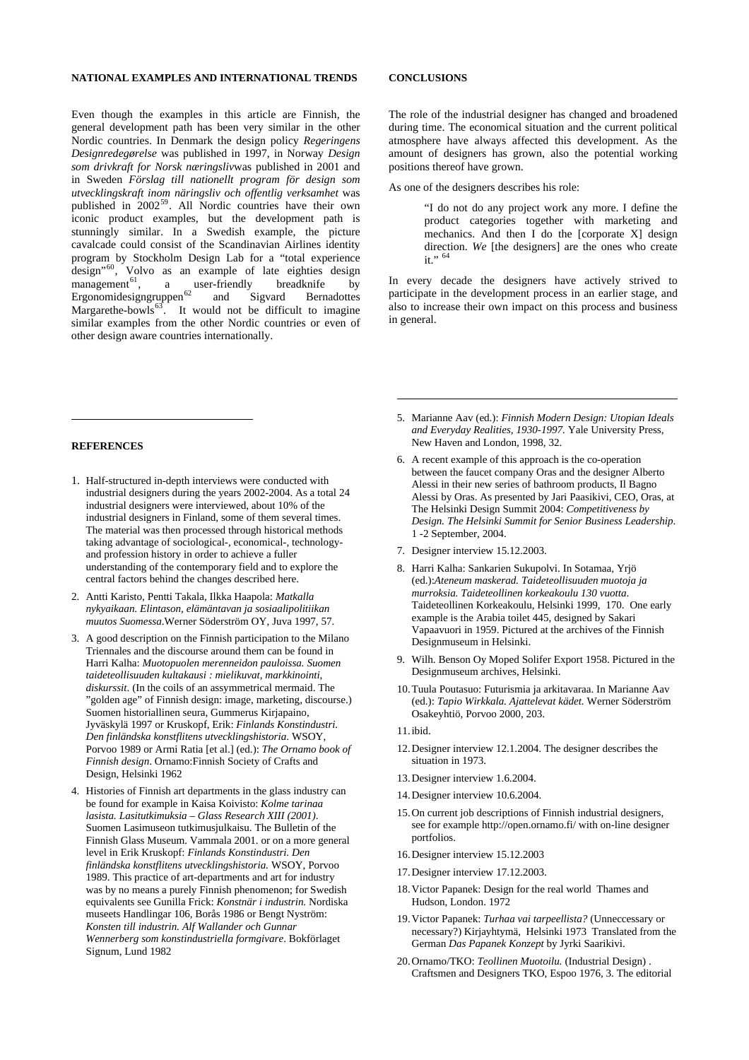## **NATIONAL EXAMPLES AND INTERNATIONAL TRENDS**

Even though the examples in this article are Finnish, the general development path has been very similar in the other Nordic countries. In Denmark the design policy *Regeringens Designredegørelse* was published in 1997, in Norway *Design som drivkraft for Norsk næringsliv*was published in 2001 and in Sweden *Förslag till nationellt program för design som utvecklingskraft inom näringsliv och offentlig verksamhet* was published in 2002<sup>[59](#page-9-2)</sup>. All Nordic countries have their own iconic product examples, but the development path is stunningly similar. In a Swedish example, the picture cavalcade could consist of the Scandinavian Airlines identity program by Stockholm Design Lab for a "total experience  $\frac{1}{2}$  design<sup>"[60](#page-9-3)</sup>, Volvo as an example of late eighties design  $management<sup>61</sup>$  $management<sup>61</sup>$  $management<sup>61</sup>$ , a user-friendly breadknife by Ergonomidesigngruppen<sup>[62](#page-9-5)</sup> and Sigvard Bernadottes Margarethe-bowls $63$ . It would not be difficult to imagine similar examples from the other Nordic countries or even of other design aware countries internationally.

### **REFERENCES**

 $\overline{a}$ 

- 1. Half-structured in-depth interviews were conducted with industrial designers during the years 2002-2004. As a total 24 industrial designers were interviewed, about 10% of the industrial designers in Finland, some of them several times. The material was then processed through historical methods taking advantage of sociological-, economical-, technologyand profession history in order to achieve a fuller understanding of the contemporary field and to explore the central factors behind the changes described here.
- 2. Antti Karisto, Pentti Takala, Ilkka Haapola: *Matkalla nykyaikaan. Elintason, elämäntavan ja sosiaalipolitiikan muutos Suomessa*.Werner Söderström OY, Juva 1997, 57.
- 3. A good description on the Finnish participation to the Milano Triennales and the discourse around them can be found in Harri Kalha: *Muotopuolen merenneidon pauloissa. Suomen taideteollisuuden kultakausi : mielikuvat, markkinointi, diskurssit*. (In the coils of an assymmetrical mermaid. The "golden age" of Finnish design: image, marketing, discourse.) Suomen historiallinen seura, Gummerus Kirjapaino, Jyväskylä 1997 or Kruskopf, Erik: *Finlands Konstindustri. Den finländska konstflitens utvecklingshistoria*. WSOY, Porvoo 1989 or Armi Ratia [et al.] (ed.): *The Ornamo book of Finnish design*. Ornamo:Finnish Society of Crafts and Design, Helsinki 1962
- 4. Histories of Finnish art departments in the glass industry can be found for example in Kaisa Koivisto: *Kolme tarinaa lasista. Lasitutkimuksia – Glass Research XIII (2001)*. Suomen Lasimuseon tutkimusjulkaisu. The Bulletin of the Finnish Glass Museum. Vammala 2001. or on a more general level in Erik Kruskopf: *Finlands Konstindustri. Den finländska konstflitens utvecklingshistoria.* WSOY, Porvoo 1989. This practice of art-departments and art for industry was by no means a purely Finnish phenomenon; for Swedish equivalents see Gunilla Frick: *Konstnär i industrin.* Nordiska museets Handlingar 106, Borås 1986 or Bengt Nyström: *Konsten till industrin. Alf Wallander och Gunnar Wennerberg som konstindustriella formgivare*. Bokförlaget Signum, Lund 1982

## **CONCLUSIONS**

The role of the industrial designer has changed and broadened during time. The economical situation and the current political atmosphere have always affected this development. As the amount of designers has grown, also the potential working positions thereof have grown.

As one of the designers describes his role:

"I do not do any project work any more. I define the product categories together with marketing and mechanics. And then I do the [corporate X] design direction. *We* [the designers] are the ones who create it."  $64$ 

In every decade the designers have actively strived to participate in the development process in an earlier stage, and also to increase their own impact on this process and business in general.

- 5. Marianne Aav (ed.): *Finnish Modern Design: Utopian Ideals and Everyday Realities, 1930-1997.* Yale University Press, New Haven and London, 1998, 32.
- 6. A recent example of this approach is the co-operation between the faucet company Oras and the designer Alberto Alessi in their new series of bathroom products, Il Bagno Alessi by Oras. As presented by Jari Paasikivi, CEO, Oras, at The Helsinki Design Summit 2004: *Competitiveness by Design. The Helsinki Summit for Senior Business Leadership*. 1 -2 September, 2004.
- 7. Designer interview 15.12.2003.
- 8. Harri Kalha: Sankarien Sukupolvi. In Sotamaa, Yrjö (ed.):*Ateneum maskerad. Taideteollisuuden muotoja ja murroksia. Taideteollinen korkeakoulu 130 vuotta*. Taideteollinen Korkeakoulu, Helsinki 1999, 170. One early example is the Arabia toilet 445, designed by Sakari Vapaavuori in 1959. Pictured at the archives of the Finnish Designmuseum in Helsinki.
- 9. Wilh. Benson Oy Moped Solifer Export 1958. Pictured in the Designmuseum archives, Helsinki.
- 10. Tuula Poutasuo: Futurismia ja arkitavaraa. In Marianne Aav (ed.): *Tapio Wirkkala. Ajattelevat kädet.* Werner Söderström Osakeyhtiö, Porvoo 2000, 203.
- 11. ibid.

 $\overline{a}$ 

- 12. Designer interview 12.1.2004. The designer describes the situation in 1973.
- 13. Designer interview 1.6.2004.
- 14. Designer interview 10.6.2004.
- 15. On current job descriptions of Finnish industrial designers, see for example <http://open.ornamo.fi/> with on-line designer portfolios.
- 16. Designer interview 15.12.2003
- 17. Designer interview 17.12.2003.
- 18. Victor Papanek: Design for the real world Thames and Hudson, London. 1972
- 19. Victor Papanek: *Turhaa vai tarpeellista?* (Unneccessary or necessary?) Kirjayhtymä, Helsinki 1973 Translated from the German *Das Papanek Konzept* by Jyrki Saarikivi.
- 20. Ornamo/TKO: *Teollinen Muotoilu.* (Industrial Design) . Craftsmen and Designers TKO, Espoo 1976, 3. The editorial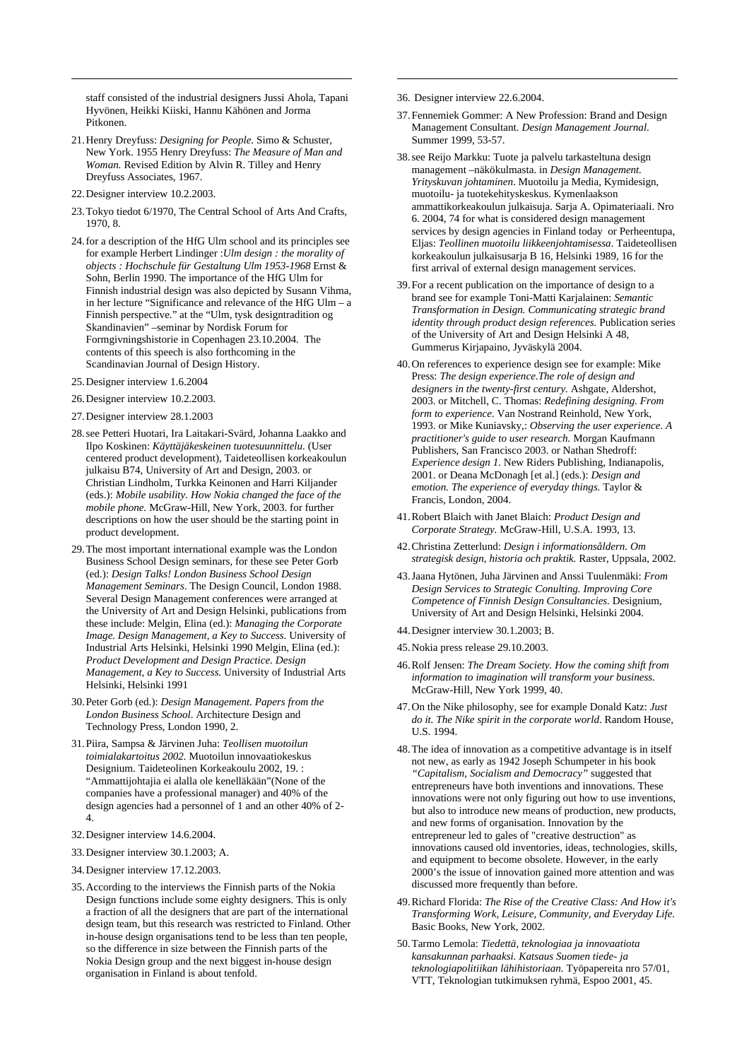staff consisted of the industrial designers Jussi Ahola, Tapani Hyvönen, Heikki Kiiski, Hannu Kähönen and Jorma Pitkonen.

- 21. Henry Dreyfuss: *Designing for People.* Simo & Schuster, New York. 1955 Henry Dreyfuss: *The Measure of Man and Woman.* Revised Edition by Alvin R. Tilley and Henry Dreyfuss Associates, 1967.
- 22. Designer interview 10.2.2003.

 $\overline{a}$ 

- 23. Tokyo tiedot 6/1970, The Central School of Arts And Crafts, 1970, 8.
- 24. for a description of the HfG Ulm school and its principles see for example Herbert Lindinger :*Ulm design : the morality of objects : Hochschule für Gestaltung Ulm 1953-1968* Ernst & Sohn, Berlin 1990. The importance of the HfG Ulm for Finnish industrial design was also depicted by Susann Vihma, in her lecture "Significance and relevance of the HfG Ulm – a Finnish perspective." at the "Ulm, tysk designtradition og Skandinavien" –seminar by Nordisk Forum for Formgivningshistorie in Copenhagen 23.10.2004. The contents of this speech is also forthcoming in the Scandinavian Journal of Design History.
- 25. Designer interview 1.6.2004
- 26. Designer interview 10.2.2003.
- 27. Designer interview 28.1.2003
- 28. see Petteri Huotari, Ira Laitakari-Svärd, Johanna Laakko and Ilpo Koskinen: *Käyttäjäkeskeinen tuotesuunnittelu.* (User centered product development), Taideteollisen korkeakoulun julkaisu B74, University of Art and Design, 2003. or Christian Lindholm, Turkka Keinonen and Harri Kiljander (eds.): *Mobile usability. How Nokia changed the face of the mobile phone.* McGraw-Hill, New York, 2003. for further descriptions on how the user should be the starting point in product development.
- 29. The most important international example was the London Business School Design seminars, for these see Peter Gorb (ed.): *Design Talks! London Business School Design Management Seminars*. The Design Council, London 1988. Several Design Management conferences were arranged at the University of Art and Design Helsinki, publications from these include: Melgin, Elina (ed.): *Managing the Corporate Image. Design Management, a Key to Success.* University of Industrial Arts Helsinki, Helsinki 1990 Melgin, Elina (ed.): *Product Development and Design Practice. Design Management, a Key to Success.* University of Industrial Arts Helsinki, Helsinki 1991
- 30. Peter Gorb (ed.): *Design Management. Papers from the London Business School*. Architecture Design and Technology Press, London 1990, 2.
- 31. Piira, Sampsa & Järvinen Juha: *Teollisen muotoilun toimialakartoitus 2002.* Muotoilun innovaatiokeskus Designium. Taideteolinen Korkeakoulu 2002, 19. : "Ammattijohtajia ei alalla ole kenelläkään"(None of the companies have a professional manager) and 40% of the design agencies had a personnel of 1 and an other 40% of 2- 4.
- 32. Designer interview 14.6.2004.
- 33. Designer interview 30.1.2003; A.
- 34. Designer interview 17.12.2003.
- 35. According to the interviews the Finnish parts of the Nokia Design functions include some eighty designers. This is only a fraction of all the designers that are part of the international design team, but this research was restricted to Finland. Other in-house design organisations tend to be less than ten people, so the difference in size between the Finnish parts of the Nokia Design group and the next biggest in-house design organisation in Finland is about tenfold.
- 36. Designer interview 22.6.2004.
- 37. Fennemiek Gommer: A New Profession: Brand and Design Management Consultant. *Design Management Journal*. Summer 1999, 53-57.
- 38. see Reijo Markku: Tuote ja palvelu tarkasteltuna design management –näkökulmasta. in *Design Management. Yrityskuvan johtaminen*. Muotoilu ja Media, Kymidesign, muotoilu- ja tuotekehityskeskus. Kymenlaakson ammattikorkeakoulun julkaisuja. Sarja A. Opimateriaali. Nro 6. 2004, 74 for what is considered design management services by design agencies in Finland today or Perheentupa, Eljas: *Teollinen muotoilu liikkeenjohtamisessa*. Taideteollisen korkeakoulun julkaisusarja B 16, Helsinki 1989, 16 for the first arrival of external design management services.
- 39. For a recent publication on the importance of design to a brand see for example Toni-Matti Karjalainen: *Semantic Transformation in Design. Communicating strategic brand identity through product design references.* Publication series of the University of Art and Design Helsinki A 48, Gummerus Kirjapaino, Jyväskylä 2004.
- 40. On references to experience design see for example: Mike Press: *The design experience.The role of design and designers in the twenty-first century.* Ashgate, Aldershot, 2003. or Mitchell, C. Thomas: *Redefining designing. From form to experience.* Van Nostrand Reinhold, New York, 1993. or Mike Kuniavsky,: *Observing the user experience. A practitioner's guide to user research.* Morgan Kaufmann Publishers, San Francisco 2003. or Nathan Shedroff: *Experience design 1*. New Riders Publishing, Indianapolis, 2001. or Deana McDonagh [et al.] (eds.): *Design and emotion. The experience of everyday things.* Taylor & Francis, London, 2004.
- 41. Robert Blaich with Janet Blaich: *Product Design and Corporate Strategy.* McGraw-Hill, U.S.A. 1993, 13.
- 42. Christina Zetterlund: *Design i informationsåldern. Om strategisk design, historia och praktik.* Raster, Uppsala, 2002.
- 43. Jaana Hytönen, Juha Järvinen and Anssi Tuulenmäki: *From Design Services to Strategic Conulting. Improving Core Competence of Finnish Design Consultancies.* Designium, University of Art and Design Helsinki, Helsinki 2004.
- 44. Designer interview 30.1.2003; B.
- 45. Nokia press release 29.10.2003.
- 46. Rolf Jensen: *The Dream Society. How the coming shift from information to imagination will transform your business.*  McGraw-Hill, New York 1999, 40.
- 47. On the Nike philosophy, see for example Donald Katz: *Just do it. The Nike spirit in the corporate world*. Random House, U.S. 1994.
- 48. The idea of innovation as a competitive advantage is in itself not new, as early as 1942 Joseph Schumpeter in his book *"Capitalism, Socialism and Democracy"* suggested that entrepreneurs have both inventions and innovations. These innovations were not only figuring out how to use inventions, but also to introduce new means of production, new products, and new forms of organisation. Innovation by the entrepreneur led to gales of "creative destruction" as innovations caused old inventories, ideas, technologies, skills, and equipment to become obsolete. However, in the early 2000's the issue of innovation gained more attention and was discussed more frequently than before.
- 49. Richard Florida: *The Rise of the Creative Class: And How it's Transforming Work, Leisure, Community, and Everyday Life.*  Basic Books, New York, 2002.
- 50. Tarmo Lemola: *Tiedettä, teknologiaa ja innovaatiota kansakunnan parhaaksi. Katsaus Suomen tiede- ja teknologiapolitiikan lähihistoriaan.* Työpapereita nro 57/01, VTT, Teknologian tutkimuksen ryhmä, Espoo 2001, 45.